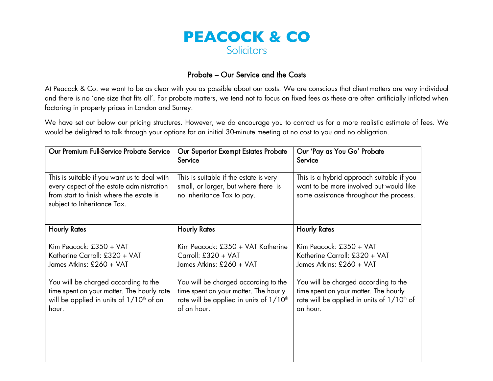

## Probate – Our Service and the Costs

At Peacock & Co. we want to be as clear with you as possible about our costs. We are conscious that client matters are very individual and there is no 'one size that fits all'. For probate matters, we tend not to focus on fixed fees as these are often artificially inflated when factoring in property prices in London and Surrey.

We have set out below our pricing structures. However, we do encourage you to contact us for a more realistic estimate of fees. We would be delighted to talk through your options for an initial 30-minute meeting at no cost to you and no obligation.

| Our Premium Full-Service Probate Service                                                                                                                                                                                          | Our Superior Exempt Estates Probate<br>Service                                                                                                                                                                                              | Our 'Pay as You Go' Probate<br>Service                                                                                                                                                                                                      |
|-----------------------------------------------------------------------------------------------------------------------------------------------------------------------------------------------------------------------------------|---------------------------------------------------------------------------------------------------------------------------------------------------------------------------------------------------------------------------------------------|---------------------------------------------------------------------------------------------------------------------------------------------------------------------------------------------------------------------------------------------|
| This is suitable if you want us to deal with<br>every aspect of the estate administration<br>from start to finish where the estate is<br>subject to Inheritance Tax.                                                              | This is suitable if the estate is very<br>small, or larger, but where there is<br>no Inheritance Tax to pay.                                                                                                                                | This is a hybrid approach suitable if you<br>want to be more involved but would like<br>some assistance throughout the process.                                                                                                             |
| <b>Hourly Rates</b>                                                                                                                                                                                                               | <b>Hourly Rates</b>                                                                                                                                                                                                                         | <b>Hourly Rates</b>                                                                                                                                                                                                                         |
| Kim Peacock: £350 + VAT<br>Katherine Carroll: £320 + VAT<br>James Atkins: £260 + VAT<br>You will be charged according to the<br>time spent on your matter. The hourly rate<br>will be applied in units of $1/10th$ of an<br>hour. | Kim Peacock: £350 + VAT Katherine<br>Carroll: £320 + VAT<br>James Atkins: £260 + VAT<br>You will be charged according to the<br>time spent on your matter. The hourly<br>rate will be applied in units of 1/10 <sup>th</sup><br>of an hour. | Kim Peacock: £350 + VAT<br>Katherine Carroll: £320 + VAT<br>James Atkins: £260 + VAT<br>You will be charged according to the<br>time spent on your matter. The hourly<br>rate will be applied in units of 1/10 <sup>th</sup> of<br>an hour. |
|                                                                                                                                                                                                                                   |                                                                                                                                                                                                                                             |                                                                                                                                                                                                                                             |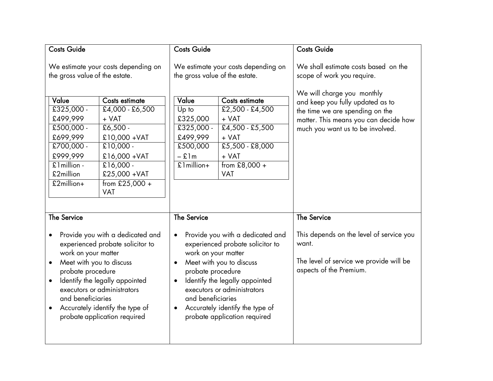| <b>Costs Guide</b>                                                                                                                                                                                                                                                                                                                                    |                                                                                                                                          | <b>Costs Guide</b>                                                                                                                                                                                                                                                                                                                                                 |                                                                                                  | <b>Costs Guide</b>                                                                                                                                                      |
|-------------------------------------------------------------------------------------------------------------------------------------------------------------------------------------------------------------------------------------------------------------------------------------------------------------------------------------------------------|------------------------------------------------------------------------------------------------------------------------------------------|--------------------------------------------------------------------------------------------------------------------------------------------------------------------------------------------------------------------------------------------------------------------------------------------------------------------------------------------------------------------|--------------------------------------------------------------------------------------------------|-------------------------------------------------------------------------------------------------------------------------------------------------------------------------|
| We estimate your costs depending on<br>the gross value of the estate.<br>Value<br>Costs estimate<br>$£325,000 -$<br>£4,000 - £6,500                                                                                                                                                                                                                   |                                                                                                                                          | We estimate your costs depending on<br>the gross value of the estate.<br>Value<br>Costs estimate<br>$£2,500 - £4,500$<br>Up to                                                                                                                                                                                                                                     |                                                                                                  | We shall estimate costs based on the<br>scope of work you require.<br>We will charge you monthly<br>and keep you fully updated as to<br>the time we are spending on the |
| £499,999<br>$£500,000 -$<br>£699,999<br>£700,000 -<br>£999,999<br>£1million -<br>£2million<br>£2million+                                                                                                                                                                                                                                              | $+ VAT$<br>$£6,500 -$<br>£10,000 + VAT<br>$£10,000 -$<br>£16,000 + VAT<br>$£16,000 -$<br>£25,000 + VAT<br>from $£25,000 +$<br><b>VAT</b> | £325,000<br>£325,000 -<br>£499,999<br>£500,000<br>$-$ £1m<br>£1million+                                                                                                                                                                                                                                                                                            | + VAT<br>$£4,500 - £5,500$<br>+ VAT<br>$£5,500 - £8,000$<br>+ VAT<br>from £8,000 +<br><b>VAT</b> | matter. This means you can decide how<br>much you want us to be involved.                                                                                               |
| <b>The Service</b><br>Provide you with a dedicated and<br>$\bullet$<br>experienced probate solicitor to<br>work on your matter<br>Meet with you to discuss<br>$\bullet$<br>probate procedure<br>Identify the legally appointed<br>executors or administrators<br>and beneficiaries<br>Accurately identify the type of<br>probate application required |                                                                                                                                          | <b>The Service</b><br>Provide you with a dedicated and<br>$\bullet$<br>experienced probate solicitor to<br>work on your matter<br>Meet with you to discuss<br>probate procedure<br>Identify the legally appointed<br>$\bullet$<br>executors or administrators<br>and beneficiaries<br>Accurately identify the type of<br>$\bullet$<br>probate application required |                                                                                                  | <b>The Service</b><br>This depends on the level of service you<br>want.<br>The level of service we provide will be<br>aspects of the Premium.                           |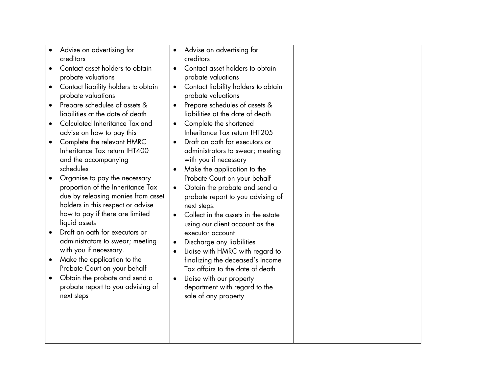| Advise on advertising for<br>creditors<br>Contact asset holders to obtain<br>$\bullet$<br>probate valuations<br>Contact liability holders to obtain<br>$\bullet$<br>probate valuations<br>Prepare schedules of assets &<br>$\bullet$<br>liabilities at the date of death<br>Calculated Inheritance Tax and<br>$\bullet$<br>advise on how to pay this<br>Complete the relevant HMRC<br>$\bullet$<br>Inheritance Tax return IHT400<br>and the accompanying<br>schedules<br>Organise to pay the necessary<br>$\bullet$<br>proportion of the Inheritance Tax<br>due by releasing monies from asset<br>holders in this respect or advise<br>how to pay if there are limited<br>liquid assets<br>Draft an oath for executors or<br>$\bullet$<br>administrators to swear; meeting | $\bullet$<br>$\bullet$<br>$\bullet$<br>$\bullet$<br>$\bullet$<br>$\bullet$<br>$\bullet$<br>$\bullet$ | Advise on advertising for<br>creditors<br>Contact asset holders to obtain<br>probate valuations<br>Contact liability holders to obtain<br>probate valuations<br>Prepare schedules of assets &<br>liabilities at the date of death<br>Complete the shortened<br>Inheritance Tax return IHT205<br>Draft an oath for executors or<br>administrators to swear; meeting<br>with you if necessary<br>Make the application to the<br>Probate Court on your behalf<br>Obtain the probate and send a<br>probate report to you advising of<br>next steps.<br>Collect in the assets in the estate<br>using our client account as the<br>executor account<br>Discharge any liabilities |  |
|----------------------------------------------------------------------------------------------------------------------------------------------------------------------------------------------------------------------------------------------------------------------------------------------------------------------------------------------------------------------------------------------------------------------------------------------------------------------------------------------------------------------------------------------------------------------------------------------------------------------------------------------------------------------------------------------------------------------------------------------------------------------------|------------------------------------------------------------------------------------------------------|----------------------------------------------------------------------------------------------------------------------------------------------------------------------------------------------------------------------------------------------------------------------------------------------------------------------------------------------------------------------------------------------------------------------------------------------------------------------------------------------------------------------------------------------------------------------------------------------------------------------------------------------------------------------------|--|
| with you if necessary.<br>Make the application to the<br>$\bullet$<br>Probate Court on your behalf<br>Obtain the probate and send a<br>$\bullet$<br>probate report to you advising of<br>next steps                                                                                                                                                                                                                                                                                                                                                                                                                                                                                                                                                                        | $\bullet$<br>$\bullet$                                                                               | Liaise with HMRC with regard to<br>finalizing the deceased's Income<br>Tax affairs to the date of death<br>Liaise with our property<br>department with regard to the<br>sale of any property                                                                                                                                                                                                                                                                                                                                                                                                                                                                               |  |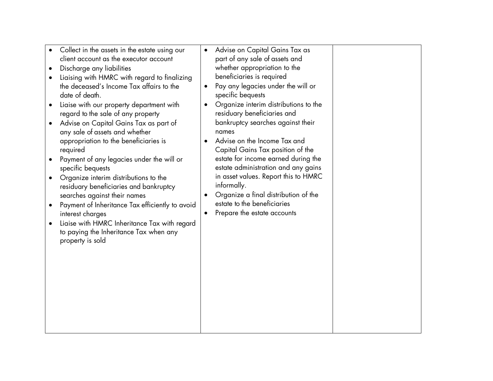- Collect in the assets in the estate using our client account as the executor account
- Discharge any liabilities
- Liaising with HMRC with regard to finalizing the deceased's Income Tax affairs to the date of death.
- Liaise with our property department with regard to the sale of any property
- Advise on Capital Gains Tax as part of any sale of assets and whether appropriation to the beneficiaries is required
- Payment of any legacies under the will or specific bequests
- Organize interim distributions to the residuary beneficiaries and bankruptcy searches against their names
- Payment of Inheritance Tax efficiently to avoid interest charges
- Liaise with HMRC Inheritance Tax with regard to paying the Inheritance Tax when any property is sold
- Advise on Capital Gains Tax as part of any sale of assets and whether appropriation to the beneficiaries is required
- Pay any legacies under the will or specific bequests
- Organize interim distributions to the residuary beneficiaries and bankruptcy searches against their names
- Advise on the Income Tax and Capital Gains Tax position of the estate for income earned during the estate administration and any gains in asset values. Report this to HMRC informally.
- Organize a final distribution of the estate to the beneficiaries
- Prepare the estate accounts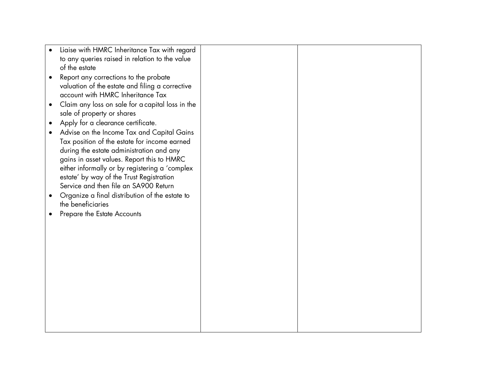| Liaise with HMRC Inheritance Tax with regard     |  |
|--------------------------------------------------|--|
| to any queries raised in relation to the value   |  |
| of the estate                                    |  |
| Report any corrections to the probate            |  |
| valuation of the estate and filing a corrective  |  |
| account with HMRC Inheritance Tax                |  |
| Claim any loss on sale for a capital loss in the |  |
| sale of property or shares                       |  |
| Apply for a clearance certificate.               |  |
| Advise on the Income Tax and Capital Gains       |  |
| Tax position of the estate for income earned     |  |
| during the estate administration and any         |  |
| gains in asset values. Report this to HMRC       |  |
| either informally or by registering a 'complex   |  |
| estate' by way of the Trust Registration         |  |
| Service and then file an SA900 Return            |  |
| Organize a final distribution of the estate to   |  |
| the beneficiaries                                |  |
| Prepare the Estate Accounts                      |  |
|                                                  |  |
|                                                  |  |
|                                                  |  |
|                                                  |  |
|                                                  |  |
|                                                  |  |
|                                                  |  |
|                                                  |  |
|                                                  |  |
|                                                  |  |
|                                                  |  |
|                                                  |  |